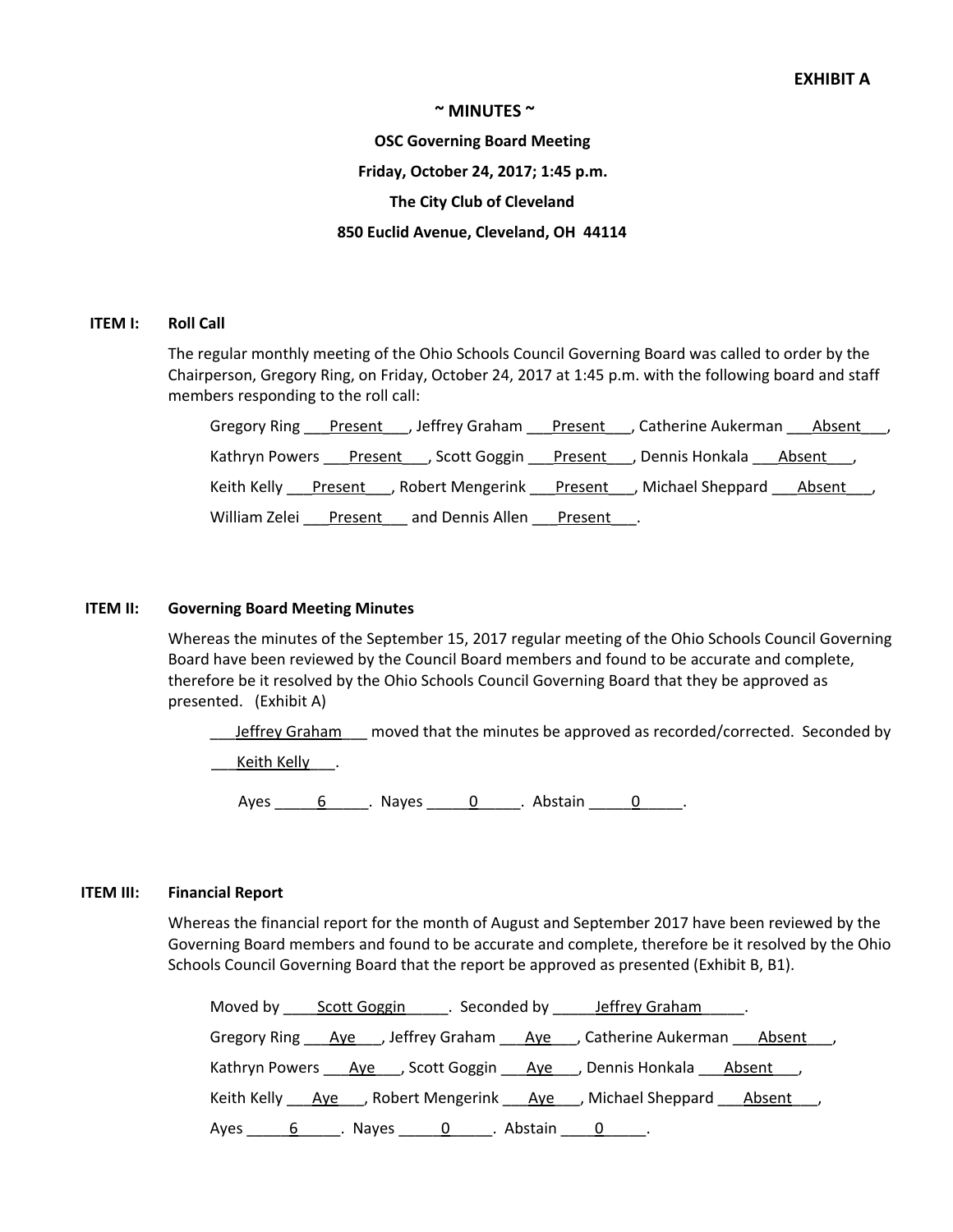#### **~ MINUTES ~**

## **OSC Governing Board Meeting**

#### **Friday, October 24, 2017; 1:45 p.m.**

## **The City Club of Cleveland**

### **850 Euclid Avenue, Cleveland, OH 44114**

#### **ITEM I: Roll Call**

The regular monthly meeting of the Ohio Schools Council Governing Board was called to order by the Chairperson, Gregory Ring, on Friday, October 24, 2017 at 1:45 p.m. with the following board and staff members responding to the roll call:

|                                                                                                 | Gregory Ring Present Jeffrey Graham Present J. Catherine Aukerman Absent J |
|-------------------------------------------------------------------------------------------------|----------------------------------------------------------------------------|
| Kathryn Powers ___ Present ___ , Scott Goggin ___ Present ___ , Dennis Honkala ___ Absent ___ , |                                                                            |
| Keith Kelly Present , Robert Mengerink Present , Michael Sheppard Absent ,                      |                                                                            |
| William Zelei<br>and Dennis Allen ___ Present ___.<br><u>Present</u>                            |                                                                            |

### **ITEM II: Governing Board Meeting Minutes**

Whereas the minutes of the September 15, 2017 regular meeting of the Ohio Schools Council Governing Board have been reviewed by the Council Board members and found to be accurate and complete, therefore be it resolved by the Ohio Schools Council Governing Board that they be approved as presented. (Exhibit A)

Leffrey Graham\_\_\_ moved that the minutes be approved as recorded/corrected. Seconded by \_\_\_Keith Kelly\_\_\_.

Ayes \_\_\_\_\_6\_\_\_\_\_. Nayes \_\_\_\_\_0\_\_\_\_\_. Abstain \_\_\_\_\_0\_\_\_\_\_.

#### **ITEM III: Financial Report**

Whereas the financial report for the month of August and September 2017 have been reviewed by the Governing Board members and found to be accurate and complete, therefore be it resolved by the Ohio Schools Council Governing Board that the report be approved as presented (Exhibit B, B1).

| Moved by Scott Goggin Seconded by Jeffrey Graham Noved by Scott Goggin No. Seconded by Seffrey Graham          |
|----------------------------------------------------------------------------------------------------------------|
| Gregory Ring Ave , Jeffrey Graham Ave , Catherine Aukerman Absent ,                                            |
| Kathryn Powers <u>Aye</u> , Scott Goggin Aye, Dennis Honkala Absent                                            |
| Keith Kelly Aye , Robert Mengerink Aye , Michael Sheppard Absent,                                              |
| Ayes 1.1 b 1.1 b 1.1 b 1.1 b 1.1 b 1.1 b 1.1 c 1.1 b 1.1 c 1.1 c 1.1 c 1.1 c 1.1 c 1.1 c 1.1 c 1.1 c 1.1 c 1.1 |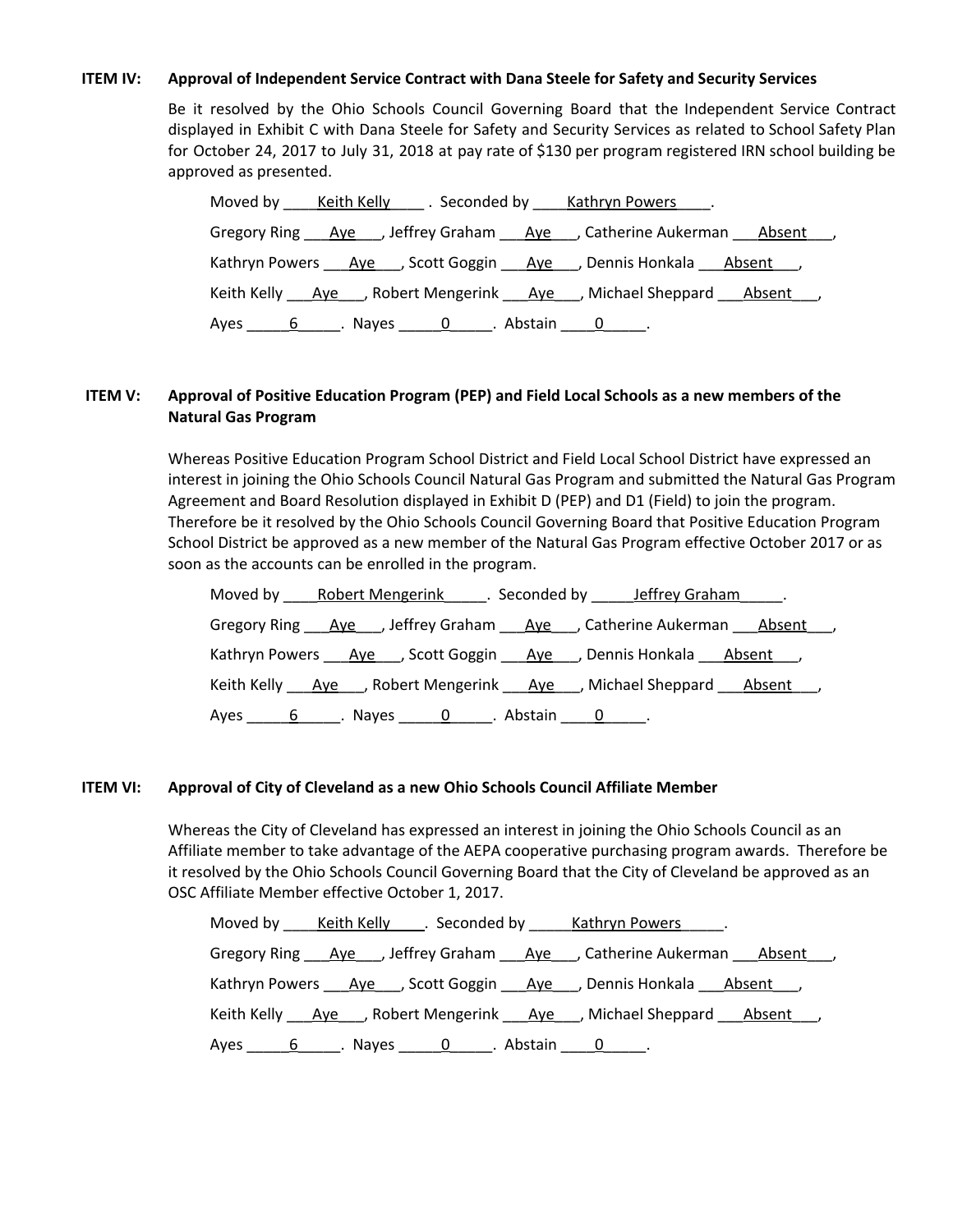## **ITEM IV: Approval of Independent Service Contract with Dana Steele for Safety and Security Services**

Be it resolved by the Ohio Schools Council Governing Board that the Independent Service Contract displayed in Exhibit C with Dana Steele for Safety and Security Services as related to School Safety Plan for October 24, 2017 to July 31, 2018 at pay rate of \$130 per program registered IRN school building be approved as presented.

| Moved by Keith Kelly . Seconded by Kathryn Powers .                               |
|-----------------------------------------------------------------------------------|
| Gregory Ring <u>Aye</u> , Jeffrey Graham <u>Aye</u> , Catherine Aukerman Absent , |
| Kathryn Powers Ave , Scott Goggin Ave , Dennis Honkala Absent ,                   |
| Keith Kelly Ave , Robert Mengerink Ave , Michael Sheppard Absent,                 |
| Ayes 6 Nayes 0 Abstain 0                                                          |

## ITEM V: Approval of Positive Education Program (PEP) and Field Local Schools as a new members of the **Natural Gas Program**

Whereas Positive Education Program School District and Field Local School District have expressed an interest in joining the Ohio Schools Council Natural Gas Program and submitted the Natural Gas Program Agreement and Board Resolution displayed in Exhibit D (PEP) and D1 (Field) to join the program. Therefore be it resolved by the Ohio Schools Council Governing Board that Positive Education Program School District be approved as a new member of the Natural Gas Program effective October 2017 or as soon as the accounts can be enrolled in the program.

| Moved by Robert Mengerink Seconded by Jeffrey Graham .              |
|---------------------------------------------------------------------|
| Gregory Ring Aye , Jeffrey Graham Aye , Catherine Aukerman Absent , |
| Kathryn Powers Ave , Scott Goggin Ave , Dennis Honkala Absent ,     |
| Keith Kelly Ave , Robert Mengerink Ave , Michael Sheppard Absent,   |
| Ayes 6 Rayes 0 Rayes 10 Abstain 1 Roman 2.                          |

## **ITEM VI: Approval of City of Cleveland as a new Ohio Schools Council Affiliate Member**

Whereas the City of Cleveland has expressed an interest in joining the Ohio Schools Council as an Affiliate member to take advantage of the AEPA cooperative purchasing program awards. Therefore be it resolved by the Ohio Schools Council Governing Board that the City of Cleveland be approved as an OSC Affiliate Member effective October 1, 2017.

|  |                                                                       | Moved by _____ Keith Kelly______. Seconded by ______ Kathryn Powers______. |  |
|--|-----------------------------------------------------------------------|----------------------------------------------------------------------------|--|
|  |                                                                       | Gregory Ring Ave , Jeffrey Graham Ave , Catherine Aukerman Absent ,        |  |
|  |                                                                       | Kathryn Powers Aye , Scott Goggin Aye , Dennis Honkala Absent,             |  |
|  |                                                                       | Keith Kelly Aye , Robert Mengerink Aye , Michael Sheppard Absent,          |  |
|  | Ayes _______6_______. Nayes ________0_______. Abstain ______0_______. |                                                                            |  |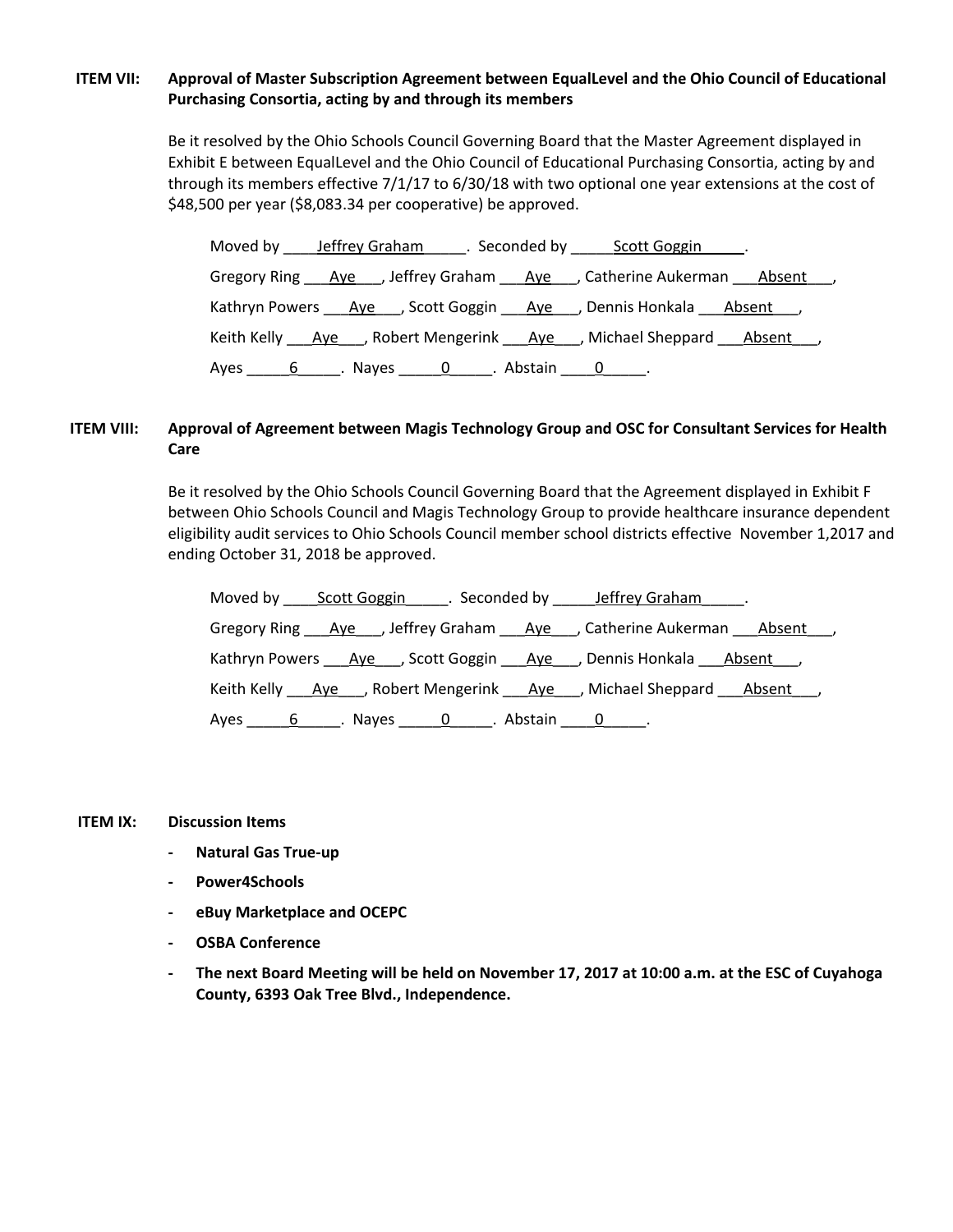# **ITEM VII: Approval of Master Subscription Agreement between EqualLevel and the Ohio Council of Educational Purchasing Consortia, acting by and through its members**

Be it resolved by the Ohio Schools Council Governing Board that the Master Agreement displayed in Exhibit E between EqualLevel and the Ohio Council of Educational Purchasing Consortia, acting by and through its members effective 7/1/17 to 6/30/18 with two optional one year extensions at the cost of \$48,500 per year (\$8,083.34 per cooperative) be approved.

| Moved by leffrey Graham Seconded by Scott Goggin L.                               |
|-----------------------------------------------------------------------------------|
| Gregory Ring <u>Aye</u> , Jeffrey Graham <u>Aye</u> , Catherine Aukerman Absent , |
| Kathryn Powers Ave , Scott Goggin Ave , Dennis Honkala Absent ,                   |
| Keith Kelly Ave , Robert Mengerink Ave , Michael Sheppard Absent,                 |
|                                                                                   |

# **ITEM VIII: Approval of Agreement between Magis Technology Group and OSC for Consultant Services for Health Care**

Be it resolved by the Ohio Schools Council Governing Board that the Agreement displayed in Exhibit F between Ohio Schools Council and Magis Technology Group to provide healthcare insurance dependent eligibility audit services to Ohio Schools Council member school districts effective November 1,2017 and ending October 31, 2018 be approved.

|                                                                      |  | Moved by Scott Goggin Fig. Seconded by Jeffrey Graham Fig.                              |  |
|----------------------------------------------------------------------|--|-----------------------------------------------------------------------------------------|--|
|                                                                      |  | Gregory Ring Ave , Jeffrey Graham Ave , Catherine Aukerman Absent ,                     |  |
|                                                                      |  | Kathryn Powers <u>Aye</u> , Scott Goggin Aye , Dennis Honkala Absent ,                  |  |
|                                                                      |  | Keith Kelly ___ Ave ___, Robert Mengerink ___ Aye ___, Michael Sheppard ___ Absent ___, |  |
| Ayes _______6_______. Nayes _______0_______. Abstain ______0_______. |  |                                                                                         |  |

#### **ITEM IX: Discussion Items**

- **- Natural Gas True-up**
- **- Power4Schools**
- **- eBuy Marketplace and OCEPC**
- **- OSBA Conference**
- The next Board Meeting will be held on November 17, 2017 at 10:00 a.m. at the ESC of Cuyahoga **County, 6393 Oak Tree Blvd., Independence.**